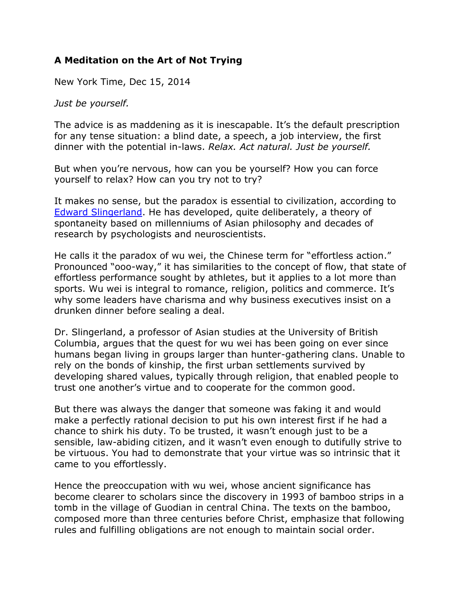## **A Meditation on the Art of Not Trying**

New York Time, Dec 15, 2014

## *Just be yourself.*

The advice is as maddening as it is inescapable. It's the default prescription for any tense situation: a blind date, a speech, a job interview, the first dinner with the potential in-laws. *Relax. Act natural. Just be yourself.* 

But when you're nervous, how can you be yourself? How you can force yourself to relax? How can you try not to try?

It makes no sense, but the paradox is essential to civilization, according to [Edward Slingerland.](http://eslingerland.arts.ubc.ca/) He has developed, quite deliberately, a theory of spontaneity based on millenniums of Asian philosophy and decades of research by psychologists and neuroscientists.

He calls it the paradox of wu wei, the Chinese term for "effortless action." Pronounced "ooo-way," it has similarities to the concept of flow, that state of effortless performance sought by athletes, but it applies to a lot more than sports. Wu wei is integral to romance, religion, politics and commerce. It's why some leaders have charisma and why business executives insist on a drunken dinner before sealing a deal.

Dr. Slingerland, a professor of Asian studies at the University of British Columbia, argues that the quest for wu wei has been going on ever since humans began living in groups larger than hunter-gathering clans. Unable to rely on the bonds of kinship, the first urban settlements survived by developing shared values, typically through religion, that enabled people to trust one another's virtue and to cooperate for the common good.

But there was always the danger that someone was faking it and would make a perfectly rational decision to put his own interest first if he had a chance to shirk his duty. To be trusted, it wasn't enough just to be a sensible, law-abiding citizen, and it wasn't even enough to dutifully strive to be virtuous. You had to demonstrate that your virtue was so intrinsic that it came to you effortlessly.

Hence the preoccupation with wu wei, whose ancient significance has become clearer to scholars since the discovery in 1993 of bamboo strips in a tomb in the village of Guodian in central China. The texts on the bamboo, composed more than three centuries before Christ, emphasize that following rules and fulfilling obligations are not enough to maintain social order.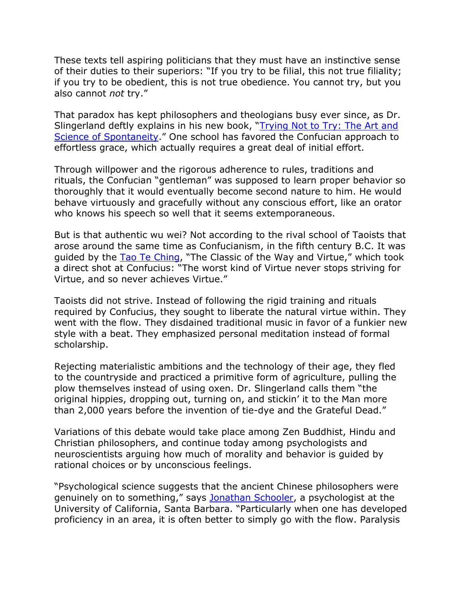These texts tell aspiring politicians that they must have an instinctive sense of their duties to their superiors: "If you try to be filial, this not true filiality; if you try to be obedient, this is not true obedience. You cannot try, but you also cannot *not* try."

That paradox has kept philosophers and theologians busy ever since, as Dr. Slingerland deftly explains in his new book, "[Trying Not to Try: The Art and](http://www.randomhouse.com/book/221421/trying-not-to-try-by-edward-slingerland)  [Science of Spontaneity](http://www.randomhouse.com/book/221421/trying-not-to-try-by-edward-slingerland)." One school has favored the Confucian approach to effortless grace, which actually requires a great deal of initial effort.

Through willpower and the rigorous adherence to rules, traditions and rituals, the Confucian "gentleman" was supposed to learn proper behavior so thoroughly that it would eventually become second nature to him. He would behave virtuously and gracefully without any conscious effort, like an orator who knows his speech so well that it seems extemporaneous.

But is that authentic wu wei? Not according to the rival school of Taoists that arose around the same time as Confucianism, in the fifth century B.C. It was guided by the [Tao Te Ching](http://cup.columbia.edu/book/the-classic-of-the-way-and-virtue/9780231105804), "The Classic of the Way and Virtue," which took a direct shot at Confucius: "The worst kind of Virtue never stops striving for Virtue, and so never achieves Virtue."

Taoists did not strive. Instead of following the rigid training and rituals required by Confucius, they sought to liberate the natural virtue within. They went with the flow. They disdained traditional music in favor of a funkier new style with a beat. They emphasized personal meditation instead of formal scholarship.

Rejecting materialistic ambitions and the technology of their age, they fled to the countryside and practiced a primitive form of agriculture, pulling the plow themselves instead of using oxen. Dr. Slingerland calls them "the original hippies, dropping out, turning on, and stickin' it to the Man more than 2,000 years before the invention of tie-dye and the Grateful Dead."

Variations of this debate would take place among Zen Buddhist, Hindu and Christian philosophers, and continue today among psychologists and neuroscientists arguing how much of morality and behavior is guided by rational choices or by unconscious feelings.

"Psychological science suggests that the ancient Chinese philosophers were genuinely on to something," says [Jonathan Schooler,](https://www.psych.ucsb.edu/people/faculty/schooler) a psychologist at the University of California, Santa Barbara. "Particularly when one has developed proficiency in an area, it is often better to simply go with the flow. Paralysis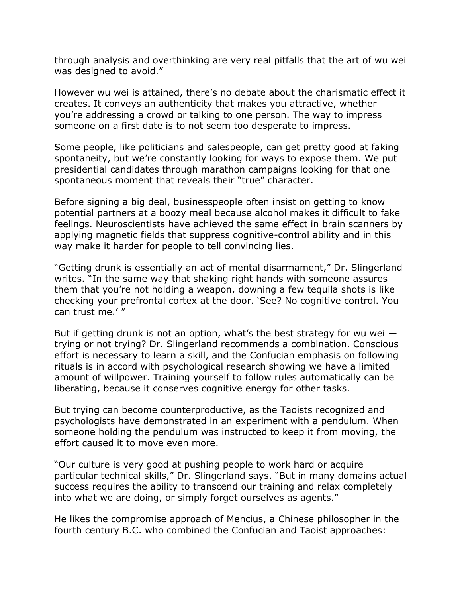through analysis and overthinking are very real pitfalls that the art of wu wei was designed to avoid."

However wu wei is attained, there's no debate about the charismatic effect it creates. It conveys an authenticity that makes you attractive, whether you're addressing a crowd or talking to one person. The way to impress someone on a first date is to not seem too desperate to impress.

Some people, like politicians and salespeople, can get pretty good at faking spontaneity, but we're constantly looking for ways to expose them. We put presidential candidates through marathon campaigns looking for that one spontaneous moment that reveals their "true" character.

Before signing a big deal, businesspeople often insist on getting to know potential partners at a boozy meal because alcohol makes it difficult to fake feelings. Neuroscientists have achieved the same effect in brain scanners by applying magnetic fields that suppress cognitive-control ability and in this way make it harder for people to tell convincing lies.

"Getting drunk is essentially an act of mental disarmament," Dr. Slingerland writes. "In the same way that shaking right hands with someone assures them that you're not holding a weapon, downing a few tequila shots is like checking your prefrontal cortex at the door. 'See? No cognitive control. You can trust me.' "

But if getting drunk is not an option, what's the best strategy for wu wei  $$ trying or not trying? Dr. Slingerland recommends a combination. Conscious effort is necessary to learn a skill, and the Confucian emphasis on following rituals is in accord with psychological research showing we have a limited amount of willpower. Training yourself to follow rules automatically can be liberating, because it conserves cognitive energy for other tasks.

But trying can become counterproductive, as the Taoists recognized and psychologists have demonstrated in an experiment with a pendulum. When someone holding the pendulum was instructed to keep it from moving, the effort caused it to move even more.

"Our culture is very good at pushing people to work hard or acquire particular technical skills," Dr. Slingerland says. "But in many domains actual success requires the ability to transcend our training and relax completely into what we are doing, or simply forget ourselves as agents."

He likes the compromise approach of Mencius, a Chinese philosopher in the fourth century B.C. who combined the Confucian and Taoist approaches: